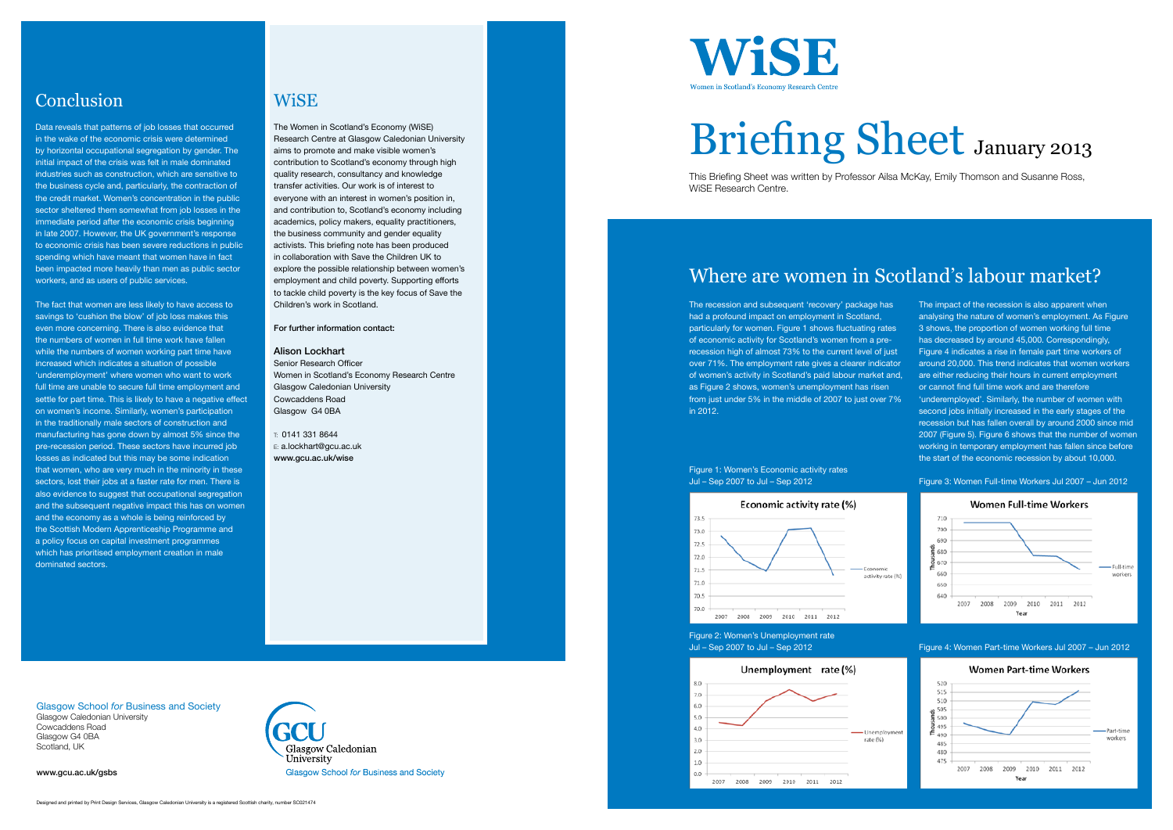The recession and subsequent 'recovery' package has had a profound impact on employment in Scotland, particularly for women. Figure 1 shows fluctuating rates of economic activity for Scotland's women from a prerecession high of almost 73% to the current level of just over 71%. The employment rate gives a clearer indicator of women's activity in Scotland's paid labour market and, as Figure 2 shows, women's unemployment has risen from just under 5% in the middle of 2007 to just over 7% in 2012.

### Figure 1: Women's Economic activity rates Jul – Sep 2007 to Jul – Sep 2012



Figure 2: Women's Unemployment rate Jul – Sep 2007 to Jul – Sep 2012



The impact of the recession is also apparent when analysing the nature of women's employment. As Figure 3 shows, the proportion of women working full time has decreased by around 45,000. Correspondingly, Figure 4 indicates a rise in female part time workers of around 20,000. This trend indicates that women workers are either reducing their hours in current employment or cannot find full time work and are therefore 'underemployed'. Similarly, the number of women with second jobs initially increased in the early stages of the recession but has fallen overall by around 2000 since mid 2007 (Figure 5). Figure 6 shows that the number of women working in temporary employment has fallen since before the start of the economic recession by about 10,000.



Figure 3: Women Full-time Workers Jul 2007 – Jun 2012

Figure 4: Women Part-time Workers Jul 2007 – Jun 2012



# Briefing Sheet January 2013

This Briefing Sheet was written by Professor Ailsa McKay, Emily Thomson and Susanne Ross, WiSE Research Centre.

# Where are women in Scotland's labour market?

Glasgow School *for* Business and Society Glasgow Caledonian University Cowcaddens Road Glasgow G4 0BA Scotland, UK

www.gcu.ac.uk/gsbs



The Women in Scotland's Economy (WiSE) Research Centre at Glasgow Caledonian University aims to promote and make visible women's contribution to Scotland's economy through high quality research, consultancy and knowledge transfer activities. Our work is of interest to everyone with an interest in women's position in, and contribution to, Scotland's economy including academics, policy makers, equality practitioners, the business community and gender equality activists. This briefing note has been produced in collaboration with Save the Children UK to explore the possible relationship between women's employment and child poverty. Supporting efforts to tackle child poverty is the key focus of Save the Children's work in Scotland.

For further information contact:

## Alison Lockhart Senior Research Officer Women in Scotland's Economy Research Centre Glasgow Caledonian University Cowcaddens Road Glasgow G4 0BA

T: 0141 331 8644 E: a.lockhart@gcu.ac.uk www.gcu.ac.uk/wise



## Conclusion

Data reveals that patterns of job losses that occurred in the wake of the economic crisis were determined by horizontal occupational segregation by gender. The initial impact of the crisis was felt in male dominated industries such as construction, which are sensitive to the business cycle and, particularly, the contraction of the credit market. Women's concentration in the public sector sheltered them somewhat from job losses in the immediate period after the economic crisis beginning in late 2007. However, the UK government's response to economic crisis has been severe reductions in public spending which have meant that women have in fact been impacted more heavily than men as public sector workers, and as users of public services.

The fact that women are less likely to have access to savings to 'cushion the blow' of job loss makes this even more concerning. There is also evidence that the numbers of women in full time work have fallen while the numbers of women working part time have increased which indicates a situation of possible 'underemployment' where women who want to work full time are unable to secure full time employment and settle for part time. This is likely to have a negative effect on women's income. Similarly, women's participation in the traditionally male sectors of construction and manufacturing has gone down by almost 5% since the pre-recession period. These sectors have incurred job losses as indicated but this may be some indication that women, who are very much in the minority in these sectors, lost their jobs at a faster rate for men. There is also evidence to suggest that occupational segregation and the subsequent negative impact this has on women and the economy as a whole is being reinforced by the Scottish Modern Apprenticeship Programme and a policy focus on capital investment programmes which has prioritised employment creation in male dominated sectors.

## **WiSE**